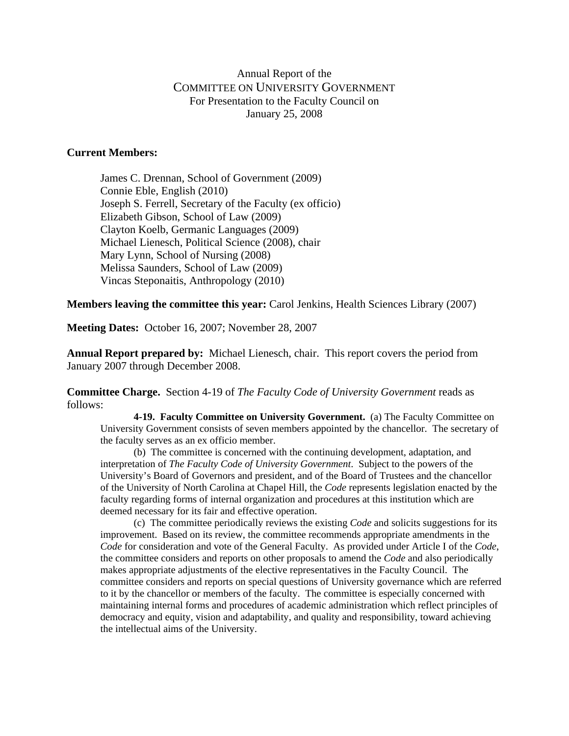# Annual Report of the COMMITTEE ON UNIVERSITY GOVERNMENT For Presentation to the Faculty Council on January 25, 2008

## **Current Members:**

James C. Drennan, School of Government (2009) Connie Eble, English (2010) Joseph S. Ferrell, Secretary of the Faculty (ex officio) Elizabeth Gibson, School of Law (2009) Clayton Koelb, Germanic Languages (2009) Michael Lienesch, Political Science (2008), chair Mary Lynn, School of Nursing (2008) Melissa Saunders, School of Law (2009) Vincas Steponaitis, Anthropology (2010)

**Members leaving the committee this year:** Carol Jenkins, Health Sciences Library (2007)

**Meeting Dates:** October 16, 2007; November 28, 2007

**Annual Report prepared by:** Michael Lienesch, chair. This report covers the period from January 2007 through December 2008.

**Committee Charge.** Section 4-19 of *The Faculty Code of University Government* reads as follows:

**4-19. Faculty Committee on University Government.** (a) The Faculty Committee on University Government consists of seven members appointed by the chancellor. The secretary of the faculty serves as an ex officio member.

(b) The committee is concerned with the continuing development, adaptation, and interpretation of *The Faculty Code of University Government*. Subject to the powers of the University's Board of Governors and president, and of the Board of Trustees and the chancellor of the University of North Carolina at Chapel Hill, the *Code* represents legislation enacted by the faculty regarding forms of internal organization and procedures at this institution which are deemed necessary for its fair and effective operation.

 (c) The committee periodically reviews the existing *Code* and solicits suggestions for its improvement. Based on its review, the committee recommends appropriate amendments in the *Code* for consideration and vote of the General Faculty. As provided under Article I of the *Code*, the committee considers and reports on other proposals to amend the *Code* and also periodically makes appropriate adjustments of the elective representatives in the Faculty Council. The committee considers and reports on special questions of University governance which are referred to it by the chancellor or members of the faculty. The committee is especially concerned with maintaining internal forms and procedures of academic administration which reflect principles of democracy and equity, vision and adaptability, and quality and responsibility, toward achieving the intellectual aims of the University.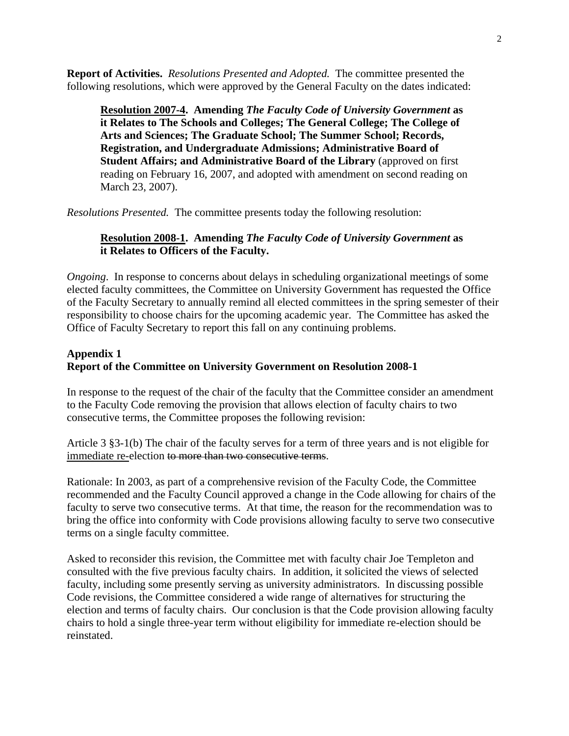**Report of Activities.** *Resolutions Presented and Adopted.* The committee presented the following resolutions, which were approved by the General Faculty on the dates indicated:

**Resolution 2007-4. Amending** *The Faculty Code of University Government* **as it Relates to The Schools and Colleges; The General College; The College of Arts and Sciences; The Graduate School; The Summer School; Records, Registration, and Undergraduate Admissions; Administrative Board of Student Affairs; and Administrative Board of the Library** (approved on first reading on February 16, 2007, and adopted with amendment on second reading on March 23, 2007).

*Resolutions Presented.* The committee presents today the following resolution:

### **Resolution 2008-1. Amending** *The Faculty Code of University Government* **as it Relates to Officers of the Faculty.**

*Ongoing*. In response to concerns about delays in scheduling organizational meetings of some elected faculty committees, the Committee on University Government has requested the Office of the Faculty Secretary to annually remind all elected committees in the spring semester of their responsibility to choose chairs for the upcoming academic year. The Committee has asked the Office of Faculty Secretary to report this fall on any continuing problems.

### **Appendix 1 Report of the Committee on University Government on Resolution 2008-1**

In response to the request of the chair of the faculty that the Committee consider an amendment to the Faculty Code removing the provision that allows election of faculty chairs to two consecutive terms, the Committee proposes the following revision:

Article 3 §3-1(b) The chair of the faculty serves for a term of three years and is not eligible for immediate re-election to more than two consecutive terms.

Rationale: In 2003, as part of a comprehensive revision of the Faculty Code, the Committee recommended and the Faculty Council approved a change in the Code allowing for chairs of the faculty to serve two consecutive terms. At that time, the reason for the recommendation was to bring the office into conformity with Code provisions allowing faculty to serve two consecutive terms on a single faculty committee.

Asked to reconsider this revision, the Committee met with faculty chair Joe Templeton and consulted with the five previous faculty chairs. In addition, it solicited the views of selected faculty, including some presently serving as university administrators. In discussing possible Code revisions, the Committee considered a wide range of alternatives for structuring the election and terms of faculty chairs. Our conclusion is that the Code provision allowing faculty chairs to hold a single three-year term without eligibility for immediate re-election should be reinstated.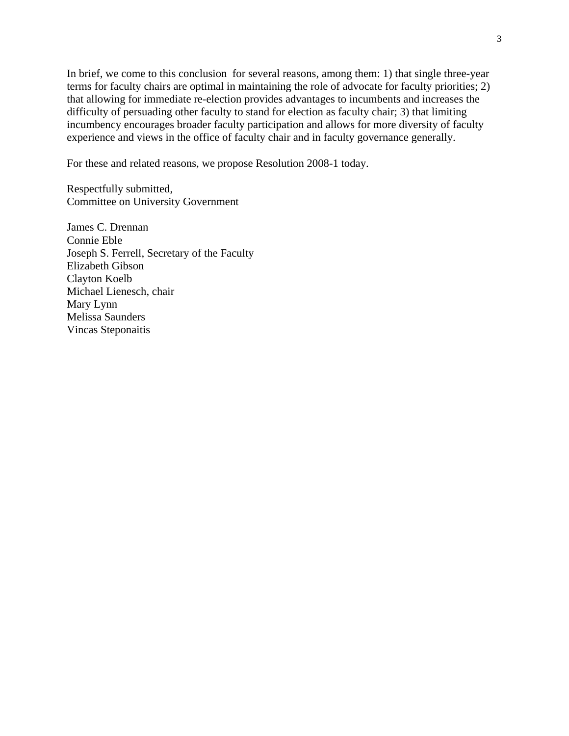In brief, we come to this conclusion for several reasons, among them: 1) that single three-year terms for faculty chairs are optimal in maintaining the role of advocate for faculty priorities; 2) that allowing for immediate re-election provides advantages to incumbents and increases the difficulty of persuading other faculty to stand for election as faculty chair; 3) that limiting incumbency encourages broader faculty participation and allows for more diversity of faculty experience and views in the office of faculty chair and in faculty governance generally.

For these and related reasons, we propose Resolution 2008-1 today.

Respectfully submitted, Committee on University Government

James C. Drennan Connie Eble Joseph S. Ferrell, Secretary of the Faculty Elizabeth Gibson Clayton Koelb Michael Lienesch, chair Mary Lynn Melissa Saunders Vincas Steponaitis